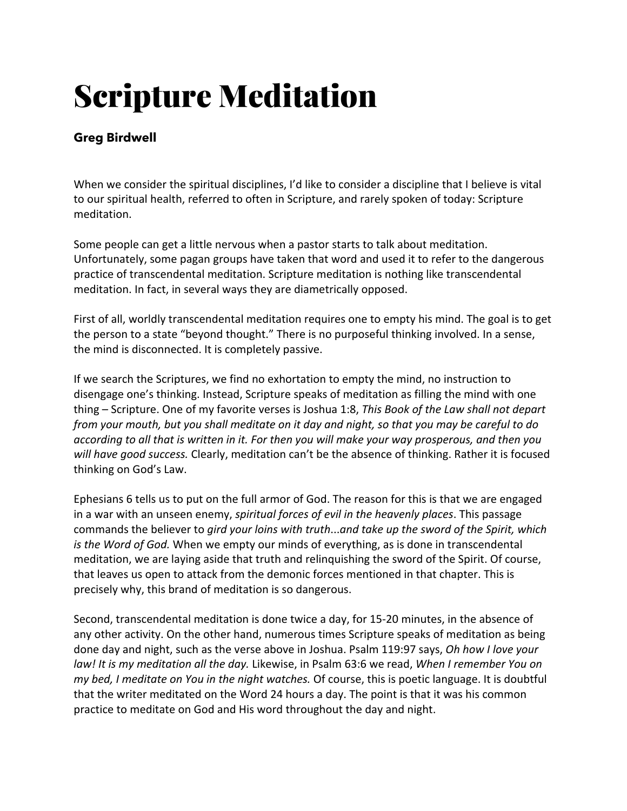## Scripture Meditation

## **Greg Birdwell**

When we consider the spiritual disciplines, I'd like to consider a discipline that I believe is vital to our spiritual health, referred to often in Scripture, and rarely spoken of today: Scripture meditation.

Some people can get a little nervous when a pastor starts to talk about meditation. Unfortunately, some pagan groups have taken that word and used it to refer to the dangerous practice of transcendental meditation. Scripture meditation is nothing like transcendental meditation. In fact, in several ways they are diametrically opposed.

First of all, worldly transcendental meditation requires one to empty his mind. The goal is to get the person to a state "beyond thought." There is no purposeful thinking involved. In a sense, the mind is disconnected. It is completely passive.

If we search the Scriptures, we find no exhortation to empty the mind, no instruction to disengage one's thinking. Instead, Scripture speaks of meditation as filling the mind with one thing – Scripture. One of my favorite verses is Joshua 1:8, *This Book of the Law shall not depart from your mouth, but you shall meditate on it day and night, so that you may be careful to do according to all that is written in it. For then you will make your way prosperous, and then you will have good success.* Clearly, meditation can't be the absence of thinking. Rather it is focused thinking on God's Law.

Ephesians 6 tells us to put on the full armor of God. The reason for this is that we are engaged in a war with an unseen enemy, *spiritual forces of evil in the heavenly places*. This passage commands the believer to *gird your loins with truth*...*and take up the sword of the Spirit, which is the Word of God.* When we empty our minds of everything, as is done in transcendental meditation, we are laying aside that truth and relinquishing the sword of the Spirit. Of course, that leaves us open to attack from the demonic forces mentioned in that chapter. This is precisely why, this brand of meditation is so dangerous.

Second, transcendental meditation is done twice a day, for 15-20 minutes, in the absence of any other activity. On the other hand, numerous times Scripture speaks of meditation as being done day and night, such as the verse above in Joshua. Psalm 119:97 says, *Oh how I love your law! It is my meditation all the day.* Likewise, in Psalm 63:6 we read, *When I remember You on my bed, I meditate on You in the night watches.* Of course, this is poetic language. It is doubtful that the writer meditated on the Word 24 hours a day. The point is that it was his common practice to meditate on God and His word throughout the day and night.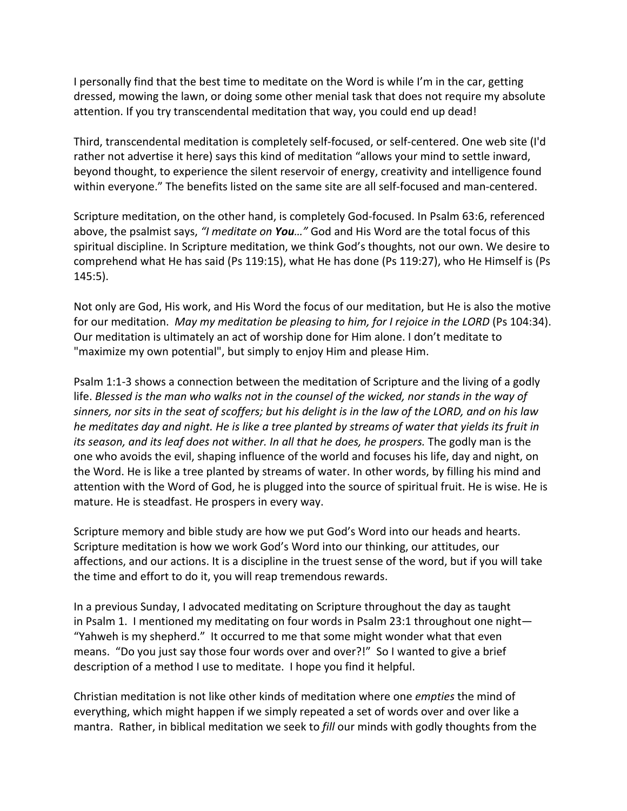I personally find that the best time to meditate on the Word is while I'm in the car, getting dressed, mowing the lawn, or doing some other menial task that does not require my absolute attention. If you try transcendental meditation that way, you could end up dead!

Third, transcendental meditation is completely self-focused, or self-centered. One web site (I'd rather not advertise it here) says this kind of meditation "allows your mind to settle inward, beyond thought, to experience the silent reservoir of energy, creativity and intelligence found within everyone." The benefits listed on the same site are all self-focused and man-centered.

Scripture meditation, on the other hand, is completely God-focused. In Psalm 63:6, referenced above, the psalmist says, *"I meditate on You…"* God and His Word are the total focus of this spiritual discipline. In Scripture meditation, we think God's thoughts, not our own. We desire to comprehend what He has said (Ps 119:15), what He has done (Ps 119:27), who He Himself is (Ps 145:5).

Not only are God, His work, and His Word the focus of our meditation, but He is also the motive for our meditation. *May my meditation be pleasing to him, for I rejoice in the LORD* (Ps 104:34). Our meditation is ultimately an act of worship done for Him alone. I don't meditate to "maximize my own potential", but simply to enjoy Him and please Him.

Psalm 1:1-3 shows a connection between the meditation of Scripture and the living of a godly life. *Blessed is the man who walks not in the counsel of the wicked, nor stands in the way of sinners, nor sits in the seat of scoffers; but his delight is in the law of the LORD, and on his law he meditates day and night. He is like a tree planted by streams of water that yields its fruit in its season, and its leaf does not wither. In all that he does, he prospers.* The godly man is the one who avoids the evil, shaping influence of the world and focuses his life, day and night, on the Word. He is like a tree planted by streams of water. In other words, by filling his mind and attention with the Word of God, he is plugged into the source of spiritual fruit. He is wise. He is mature. He is steadfast. He prospers in every way.

Scripture memory and bible study are how we put God's Word into our heads and hearts. Scripture meditation is how we work God's Word into our thinking, our attitudes, our affections, and our actions. It is a discipline in the truest sense of the word, but if you will take the time and effort to do it, you will reap tremendous rewards.

In a previous Sunday, I advocated meditating on Scripture throughout the day as taught in Psalm 1. I mentioned my meditating on four words in Psalm 23:1 throughout one night— "Yahweh is my shepherd." It occurred to me that some might wonder what that even means. "Do you just say those four words over and over?!" So I wanted to give a brief description of a method I use to meditate. I hope you find it helpful.

Christian meditation is not like other kinds of meditation where one *empties* the mind of everything, which might happen if we simply repeated a set of words over and over like a mantra. Rather, in biblical meditation we seek to *fill* our minds with godly thoughts from the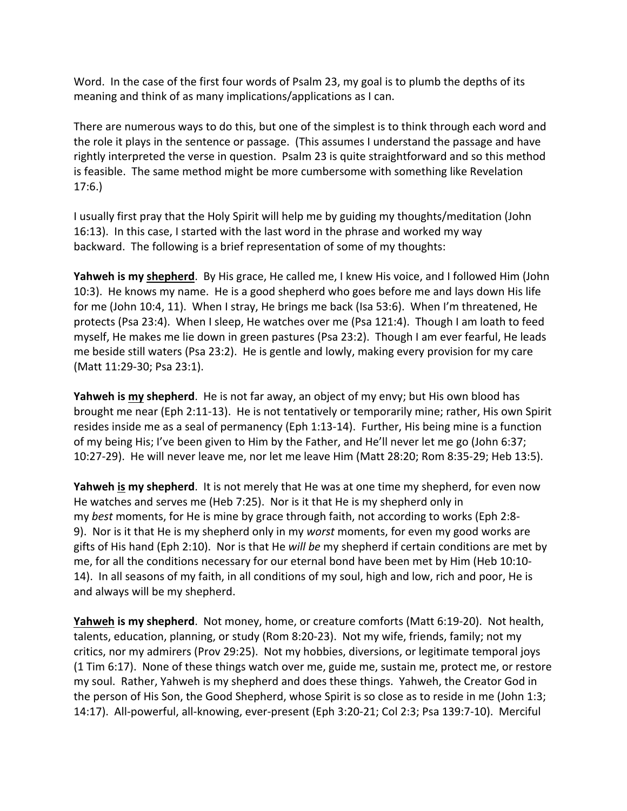Word. In the case of the first four words of Psalm 23, my goal is to plumb the depths of its meaning and think of as many implications/applications as I can.

There are numerous ways to do this, but one of the simplest is to think through each word and the role it plays in the sentence or passage. (This assumes I understand the passage and have rightly interpreted the verse in question. Psalm 23 is quite straightforward and so this method is feasible. The same method might be more cumbersome with something like Revelation 17:6.)

I usually first pray that the Holy Spirit will help me by guiding my thoughts/meditation (John 16:13). In this case, I started with the last word in the phrase and worked my way backward. The following is a brief representation of some of my thoughts:

**Yahweh is my shepherd**. By His grace, He called me, I knew His voice, and I followed Him (John 10:3). He knows my name. He is a good shepherd who goes before me and lays down His life for me (John 10:4, 11). When I stray, He brings me back (Isa 53:6). When I'm threatened, He protects (Psa 23:4). When I sleep, He watches over me (Psa 121:4). Though I am loath to feed myself, He makes me lie down in green pastures (Psa 23:2). Though I am ever fearful, He leads me beside still waters (Psa 23:2). He is gentle and lowly, making every provision for my care (Matt 11:29-30; Psa 23:1).

**Yahweh is my shepherd**. He is not far away, an object of my envy; but His own blood has brought me near (Eph 2:11-13). He is not tentatively or temporarily mine; rather, His own Spirit resides inside me as a seal of permanency (Eph 1:13-14). Further, His being mine is a function of my being His; I've been given to Him by the Father, and He'll never let me go (John 6:37; 10:27-29). He will never leave me, nor let me leave Him (Matt 28:20; Rom 8:35-29; Heb 13:5).

**Yahweh is my shepherd**. It is not merely that He was at one time my shepherd, for even now He watches and serves me (Heb 7:25). Nor is it that He is my shepherd only in my *best* moments, for He is mine by grace through faith, not according to works (Eph 2:8- 9). Nor is it that He is my shepherd only in my *worst* moments, for even my good works are gifts of His hand (Eph 2:10). Nor is that He *will be* my shepherd if certain conditions are met by me, for all the conditions necessary for our eternal bond have been met by Him (Heb 10:10- 14). In all seasons of my faith, in all conditions of my soul, high and low, rich and poor, He is and always will be my shepherd.

**Yahweh is my shepherd**. Not money, home, or creature comforts (Matt 6:19-20). Not health, talents, education, planning, or study (Rom 8:20-23). Not my wife, friends, family; not my critics, nor my admirers (Prov 29:25). Not my hobbies, diversions, or legitimate temporal joys (1 Tim 6:17). None of these things watch over me, guide me, sustain me, protect me, or restore my soul. Rather, Yahweh is my shepherd and does these things. Yahweh, the Creator God in the person of His Son, the Good Shepherd, whose Spirit is so close as to reside in me (John 1:3; 14:17). All-powerful, all-knowing, ever-present (Eph 3:20-21; Col 2:3; Psa 139:7-10). Merciful